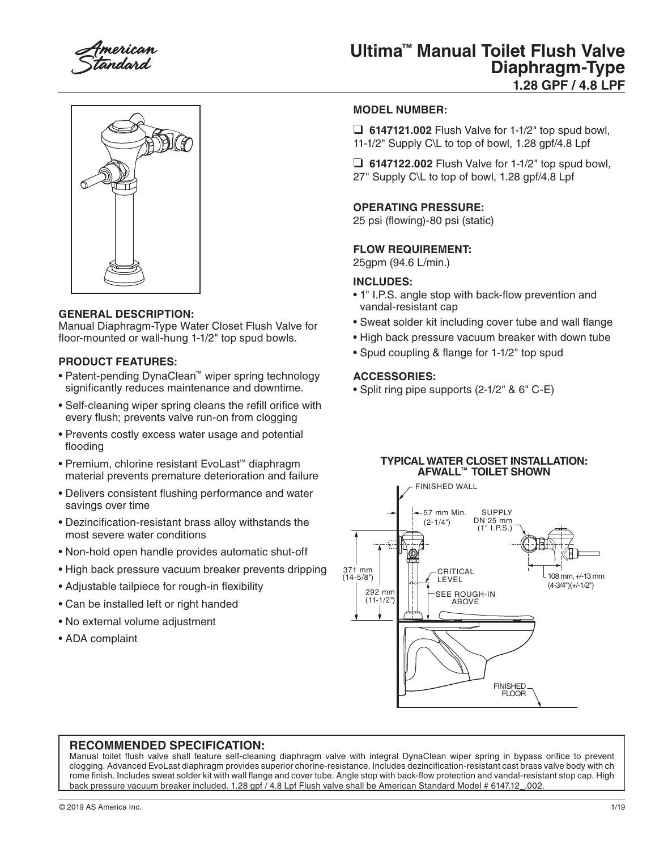



## **GENERAL DESCRIPTION:**

Manual Diaphragm-Type Water Closet Flush Valve for floor-mounted or wall-hung 1-1/2" top spud bowls.

#### **PRODUCT FEATURES:**

- Patent-pending DynaClean™ wiper spring technology significantly reduces maintenance and downtime.
- Self-cleaning wiper spring cleans the refill orifice with every flush; prevents valve run-on from clogging
- Prevents costly excess water usage and potential flooding
- Premium, chlorine resistant EvoLast™ diaphragm material prevents premature deterioration and failure
- Delivers consistent flushing performance and water savings over time
- Dezincification-resistant brass alloy withstands the most severe water conditions
- Non-hold open handle provides automatic shut-off
- High back pressure vacuum breaker prevents dripping
- Adjustable tailpiece for rough-in flexibility
- Can be installed left or right handed
- No external volume adjustment
- ADA complaint

#### **MODEL NUMBER:**

❑ **6147121.002** Flush Valve for 1-1/2" top spud bowl, 11-1/2" Supply C\L to top of bowl, 1.28 gpf/4.8 Lpf

❑ **6147122.002** Flush Valve for 1-1/2" top spud bowl, 27" Supply C\L to top of bowl, 1.28 gpf/4.8 Lpf

#### **OPERATING PRESSURE:**

25 psi (flowing)-80 psi (static)

#### **FLOW REQUIREMENT:**

25gpm (94.6 L/min.)

#### **INCLUDES:**

- 1" I.P.S. angle stop with back-flow prevention and vandal-resistant cap
- Sweat solder kit including cover tube and wall flange
- High back pressure vacuum breaker with down tube
- Spud coupling & flange for 1-1/2" top spud

#### **ACCESSORIES:**

• Split ring pipe supports (2-1/2" & 6" C-E)

#### **TYPICAL WATER CLOSET INSTALLATION: AFWALL™ TOILET SHOWN**



## **RECOMMENDED SPECIFICATION:**

Manual toilet flush valve shall feature self-cleaning diaphragm valve with integral DynaClean wiper spring in bypass orifice to prevent clogging. Advanced EvoLast diaphragm provides superior chorine-resistance. Includes dezincification-resistant cast brass valve body with ch rome finish. Includes sweat solder kit with wall flange and cover tube. Angle stop with back-flow protection and vandal-resistant stop cap. High back pressure vacuum breaker included. 1.28 gpf / 4.8 Lpf Flush valve shall be American Standard Model # 6147.12\_.002.